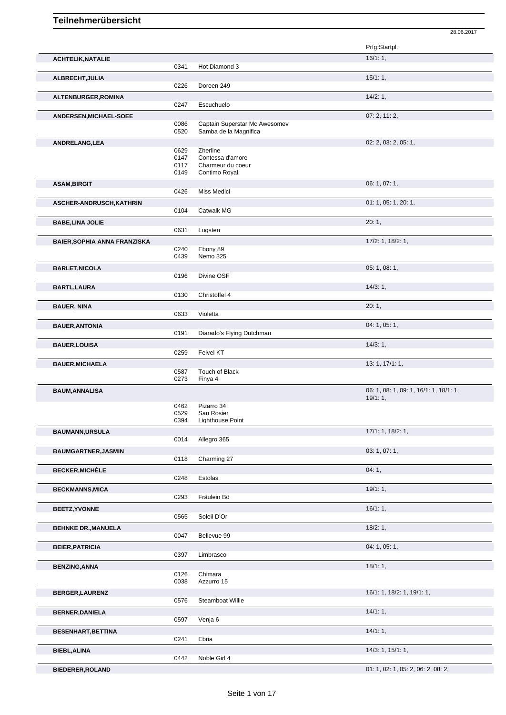|                                     |              |                               | Prfg:Startpl.                          |
|-------------------------------------|--------------|-------------------------------|----------------------------------------|
| <b>ACHTELIK, NATALIE</b>            |              |                               | 16/1:1,                                |
|                                     | 0341         | Hot Diamond 3                 | 15/1:1,                                |
| ALBRECHT, JULIA                     | 0226         | Doreen 249                    |                                        |
| ALTENBURGER, ROMINA                 |              |                               | 14/2:1,                                |
|                                     | 0247         | Escuchuelo                    |                                        |
| <b>ANDERSEN, MICHAEL-SOEE</b>       | 0086         | Captain Superstar Mc Awesomev | 07:2, 11:2,                            |
|                                     | 0520         | Samba de la Magnifica         |                                        |
| ANDRELANG, LEA                      |              |                               | 02: 2, 03: 2, 05: 1,                   |
|                                     | 0629<br>0147 | Zherline<br>Contessa d'amore  |                                        |
|                                     | 0117         | Charmeur du coeur             |                                        |
|                                     | 0149         | Contimo Royal                 | 06: 1, 07: 1,                          |
| <b>ASAM, BIRGIT</b>                 | 0426         | Miss Medici                   |                                        |
| ASCHER-ANDRUSCH, KATHRIN            |              |                               | 01: 1, 05: 1, 20: 1,                   |
|                                     | 0104         | Catwalk MG                    |                                        |
| <b>BABE, LINA JOLIE</b>             | 0631         | Lugsten                       | 20:1,                                  |
| <b>BAIER, SOPHIA ANNA FRANZISKA</b> |              |                               | 17/2: 1, 18/2: 1,                      |
|                                     | 0240         | Ebony 89                      |                                        |
|                                     | 0439         | Nemo 325                      |                                        |
| <b>BARLET, NICOLA</b>               | 0196         | Divine OSF                    | 05: 1, 08: 1,                          |
| <b>BARTL, LAURA</b>                 |              |                               | 14/3:1,                                |
|                                     | 0130         | Christoffel 4                 |                                        |
| <b>BAUER, NINA</b>                  |              |                               | 20:1,                                  |
|                                     | 0633         | Violetta                      |                                        |
| <b>BAUER, ANTONIA</b>               | 0191         | Diarado's Flying Dutchman     | 04: 1, 05: 1,                          |
| <b>BAUER, LOUISA</b>                |              |                               | 14/3:1,                                |
|                                     | 0259         | Feivel KT                     |                                        |
|                                     |              |                               |                                        |
| <b>BAUER, MICHAELA</b>              |              |                               | 13: 1, 17/1: 1,                        |
|                                     | 0587         | Touch of Black                |                                        |
| <b>BAUM, ANNALISA</b>               | 0273         | Finya 4                       | 06: 1, 08: 1, 09: 1, 16/1: 1, 18/1: 1, |
|                                     |              |                               | 19/1:1,                                |
|                                     | 0462<br>0529 | Pizarro 34<br>San Rosier      |                                        |
|                                     | 0394         | Lighthouse Point              |                                        |
| <b>BAUMANN, URSULA</b>              |              |                               | 17/1: 1, 18/2: 1,                      |
|                                     | 0014         | Allegro 365                   |                                        |
| <b>BAUMGARTNER, JASMIN</b>          | 0118         | Charming 27                   | 03: 1, 07: 1,                          |
| <b>BECKER, MICHÈLE</b>              |              |                               | 04:1,                                  |
|                                     | 0248         | Estolas                       |                                        |
| <b>BECKMANNS, MICA</b>              |              |                               | 19/1:1                                 |
|                                     | 0293         | Fräulein Bö                   |                                        |
| <b>BEETZ, YVONNE</b>                | 0565         | Soleil D'Or                   | 16/1:1,                                |
| <b>BEHNKE DR., MANUELA</b>          |              |                               | 18/2:1,                                |
|                                     | 0047         | Bellevue 99                   |                                        |
| <b>BEIER, PATRICIA</b>              | 0397         | Limbrasco                     | 04: 1, 05: 1,                          |
| <b>BENZING, ANNA</b>                |              |                               |                                        |
|                                     | 0126         | Chimara                       | 18/1:1,                                |
|                                     | 0038         | Azzurro 15                    |                                        |
| <b>BERGER,LAURENZ</b>               | 0576         | Steamboat Willie              | 16/1: 1, 18/2: 1, 19/1: 1,             |
| <b>BERNER, DANIELA</b>              |              |                               | 14/1:1,                                |
|                                     | 0597         | Venja 6                       |                                        |
| <b>BESENHART, BETTINA</b>           |              |                               | 14/1:1,                                |
|                                     | 0241         | Ebria                         |                                        |
| <b>BIEBL, ALINA</b>                 | 0442         | Noble Girl 4                  | 14/3: 1, 15/1: 1,                      |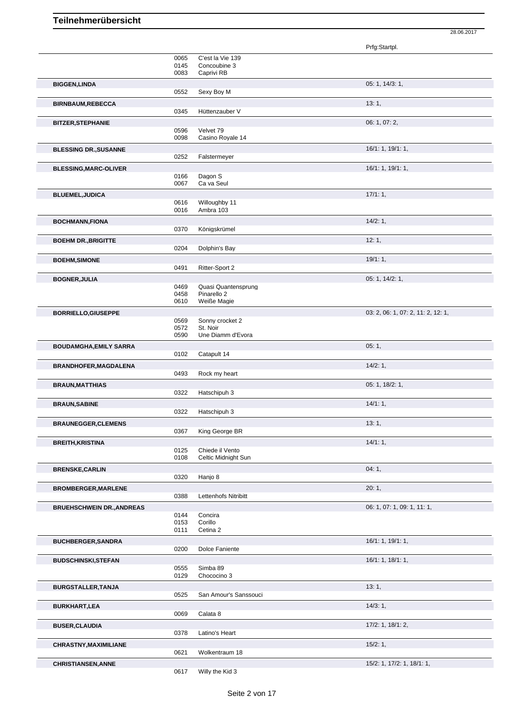Prfg:Startpl. 0065 C'est la Vie 139 0145 Concoubine 3<br>0083 Caprivi RB Caprivi RB **BIGGEN,LINDA** 05: 1, 14/3: 1, 0552 Sexy Boy M **BIRNBAUM,REBECCA** 13: 1, 0345 Hüttenzauber V **BITZER,STEPHANIE** 06: 1, 07: 2, 0596 Velvet 79<br>0098 Casino Ro Casino Royale 14 **BLESSING DR.,SUSANNE** 16/1: 1, 19/1: 1, 19/1: 1, 19/1: 1, 19/1: 1, 19/1: 1, 19/1: 1, 19/1: 1, 19/1: 1, 19/1: 1, 19/1: 1, 19/1: 1, 19/1: 1, 19/1: 1, 19/1: 1, 19/1: 1, 19/1: 1, 19/1: 1, 19/1: 1, 19/1: 1, 19/1: 1, 19/1: 1, 1 0252 Falstermeyer **BLESSING, MARC-OLIVER** 16/1: 1, 19/1: 1, 19/1: 1, 19/1: 1, 19/1: 1, 19/1: 1, 19/1: 1, 19/1: 1, 19/1: 1, 19/1: 1, 19/1: 1, 19/1: 1, 19/1: 1, 19/1: 1, 19/1: 1, 19/1: 1, 19/1: 1, 19/1: 1, 19/1: 1, 19/1: 1, 19/1: 1, 19/1: 1, 0166 Dagon S<br>0067 Ca va Se Ca va Seul **BLUEMEL,JUDICA** 17/1: 1, 0616 Willoughby 11<br>0016 Ambra 103 Ambra 103 **BOCHMANN,FIONA** 14/2: 1,<br>
0370 Königskrümel Königskrümel **BOEHM DR.,BRIGITTE** 12: 1, 0204 Dolphin's Bay Dolphin's Bay **BOEHM,SIMONE** 19/1: 1, **19/1: 1, DAMAGE 19/1: 1, DAMAGE 19/1: 1, DAMAGE 19/1: 1, CONFIDENT** 19/1: 1, Ritter-Sport 2 **BOGNER,JULIA** 05: 1, 14/2: 1, 0469 Quasi Quantensprung<br>0458 Pinarello 2 0458 Pinarello 2<br>0610 Weiße Mac Weiße Magie **BORRIELLO,GIUSEPPE** 03: 2, 06: 1, 07: 2, 11: 2, 12: 1, 0569 Sonny crocket 2 0572 St. Noir Une Diamm d'Evora **BOUDAMGHA, EMILY SARRA** 05: 1, 0102 Catapult 14 Catapult 14 **BRANDHOFER, MAGDALENA** 14/2: 1, 0493 Rock my heart **BRAUN,MATTHIAS** 05: 1, 18/2: 1, 0322 Hatschipuh 3 **BRAUN, SABINE** 14/1: 1, 0322 Hatschipuh 3 **BRAUNEGGER,CLEMENS** 13: 1, 2004 0367 King George BR **BREITH, KRISTINA** 14/1: 1, 20125 Chiede il Vento 0125 Chiede il Vento<br>0108 Celtic Midnight Celtic Midnight Sun **BRENSKE,CARLIN** 04: 1, 04: 1, 04: 1, 04: 1, 04: 1, 04: 1, 04: 1, 04: 1, 04: 1, 04: 1, 04: 1, 04: 1, 04: 1, 04: 1, 04: 1, 04: 1, 04: 1, 04: 1, 04: 1, 04: 1, 04: 1, 04: 1, 04: 1, 04: 1, 04: 1, 04: 1, 04: 1, 04: 1, 04: 1, 04 0320 Hanjo 8 **BROMBERGER,MARLENE** 20: 1, Lettenhofs Nitribitt **BRUEHSCHWEIN DR.,ANDREAS DECALL ASSESSED ASSOCIATES AND RELATIONS OF A SECOND ACCEPT OF A SECOND ACCEPT OF A SECOND ACCEPT OF A SECOND ACCEPT OF A SECOND ACCEPT OF A SECOND ACCEPT OF A SECOND ACCEPT OF A SECOND ACCEPT O** 0144 Concira<br>0153 Corillo 0153 Corillo<br>0111 Cetina Cetina 2 **BUCHBERGER,SANDRA** 16/1: 1, 19/1: 1, 19/1: 1, 19/1: 1, 19/1: 1, 19/1: 1, 19/1: 1, 19/1: 1, 19/1: 1, 19/1: 1, 19/1: 1, 19/1: 1, 19/1: 1, 19/1: 1, 19/1: 1, 19/1: 1, 19/1: 1, 19/1: 1, 19/1: 1, 19/1: 1, 19/1: 1, 19/1: 1, 19/1 Dolce Faniente **BUDSCHINSKI,STEFAN** 16/1: 1, 18/1: 1, 18/1: 1, 18/1: 1, 18/1: 1, 18/1: 1, 18/1: 1, 18/1: 1, 18/1: 1, 18/1: 1, 19/1: 1, 19/1: 1, 19/1: 1, 19/1: 1, 19/1: 1, 19/1: 1, 19/1: 1, 19/1: 1, 19/1: 1, 19/1: 1, 19/1: 1, 19/1: 1, 19/ Simba 89 0129 Chococino 3 **BURGSTALLER,TANJA** 13: 1, 0525 San Amour's Sanssouci **BURKHART,LEA** 14/3: 1, 0069 Calata 8 **BUSER,CLAUDIA** 17/2: 1, 18/1: 2, 0378 Latino's Heart **CHRASTNY, MAXIMILIANE** 15/2: 1, 0621 Wolkentraum 18 **CHRISTIANSEN,ANNE** 15/2: 1, 17/2: 1, 18/1: 1,

28.06.2017

0617 Willy the Kid 3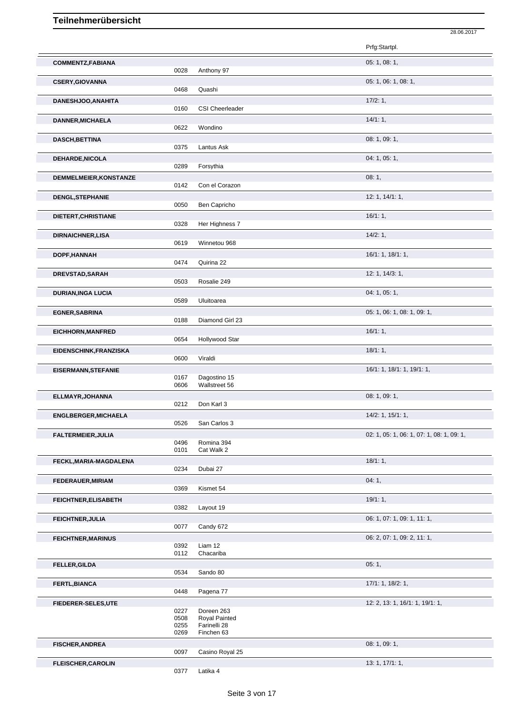|                             |              |                               | 28.06.2017                                |
|-----------------------------|--------------|-------------------------------|-------------------------------------------|
|                             |              |                               | Prfg:Startpl.                             |
| <b>COMMENTZ,FABIANA</b>     | 0028         | Anthony 97                    | 05: 1, 08: 1,                             |
| <b>CSERY, GIOVANNA</b>      |              |                               | 05: 1, 06: 1, 08: 1,                      |
|                             | 0468         | Quashi                        |                                           |
| DANESHJOO, ANAHITA          | 0160         | <b>CSI Cheerleader</b>        | 17/2:1,                                   |
| DANNER, MICHAELA            | 0622         | Wondino                       | 14/1:1,                                   |
| <b>DASCH, BETTINA</b>       |              |                               | 08: 1, 09: 1,                             |
|                             | 0375         | Lantus Ask                    | 04: 1, 05: 1,                             |
| DEHARDE, NICOLA             | 0289         | Forsythia                     |                                           |
| DEMMELMEIER, KONSTANZE      | 0142         | Con el Corazon                | 08:1,                                     |
| DENGL, STEPHANIE            | 0050         | Ben Capricho                  | 12: 1, 14/1: 1,                           |
| DIETERT, CHRISTIANE         |              |                               | 16/1:1,                                   |
|                             | 0328         | Her Highness 7                |                                           |
| <b>DIRNAICHNER, LISA</b>    | 0619         | Winnetou 968                  | $14/2:1$ ,                                |
| DOPF, HANNAH                | 0474         |                               | 16/1: 1, 18/1: 1,                         |
|                             |              | Quirina 22                    | 12: 1, 14/3: 1,                           |
| DREVSTAD, SARAH             | 0503         | Rosalie 249                   |                                           |
| <b>DURIAN, INGA LUCIA</b>   | 0589         | Uluitoarea                    | 04: 1, 05: 1,                             |
| <b>EGNER, SABRINA</b>       |              |                               | 05: 1, 06: 1, 08: 1, 09: 1,               |
|                             | 0188         | Diamond Girl 23               |                                           |
| <b>EICHHORN, MANFRED</b>    | 0654         | Hollywood Star                | 16/1:1,                                   |
| EIDENSCHINK, FRANZISKA      | 0600         | Viraldi                       | 18/1:1,                                   |
| <b>EISERMANN, STEFANIE</b>  |              |                               | 16/1: 1, 18/1: 1, 19/1: 1,                |
|                             | 0167<br>0606 | Dagostino 15<br>Wallstreet 56 |                                           |
| ELLMAYR, JOHANNA            | 0212         |                               | 08: 1, 09: 1,                             |
| <b>ENGLBERGER, MICHAELA</b> |              | Don Karl 3                    | 14/2: 1, 15/1: 1,                         |
|                             | 0526         | San Carlos 3                  |                                           |
| FALTERMEIER, JULIA          | 0496         | Romina 394                    | 02: 1, 05: 1, 06: 1, 07: 1, 08: 1, 09: 1, |
|                             | 0101         | Cat Walk 2                    |                                           |
| FECKL, MARIA-MAGDALENA      | 0234         | Dubai 27                      | 18/1:1,                                   |
| FEDERAUER, MIRIAM           |              |                               | 04:1,                                     |
|                             | 0369         | Kismet 54                     |                                           |
| <b>FEICHTNER, ELISABETH</b> | 0382         | Layout 19                     | 19/1:1,                                   |
| <b>FEICHTNER, JULIA</b>     |              |                               | 06: 1, 07: 1, 09: 1, 11: 1,               |
|                             | 0077         | Candy 672                     | 06: 2, 07: 1, 09: 2, 11: 1,               |
| <b>FEICHTNER, MARINUS</b>   | 0392         | Liam 12                       |                                           |
|                             | 0112         | Chacariba                     |                                           |
| <b>FELLER, GILDA</b>        | 0534         | Sando 80                      | 05:1,                                     |
| FERTL, BIANCA               | 0448         | Pagena 77                     | 17/1: 1, 18/2: 1,                         |
| FIEDERER-SELES,UTE          |              |                               | 12: 2, 13: 1, 16/1: 1, 19/1: 1,           |
|                             | 0227<br>0508 | Doreen 263<br>Royal Painted   |                                           |
|                             | 0255         | Farinelli 28                  |                                           |
| <b>FISCHER, ANDREA</b>      | 0269         | Finchen 63                    | 08: 1, 09: 1,                             |
|                             | 0097         | Casino Royal 25               |                                           |
| <b>FLEISCHER, CAROLIN</b>   | 0377         | Latika 4                      | 13: 1, 17/1: 1,                           |
|                             |              |                               |                                           |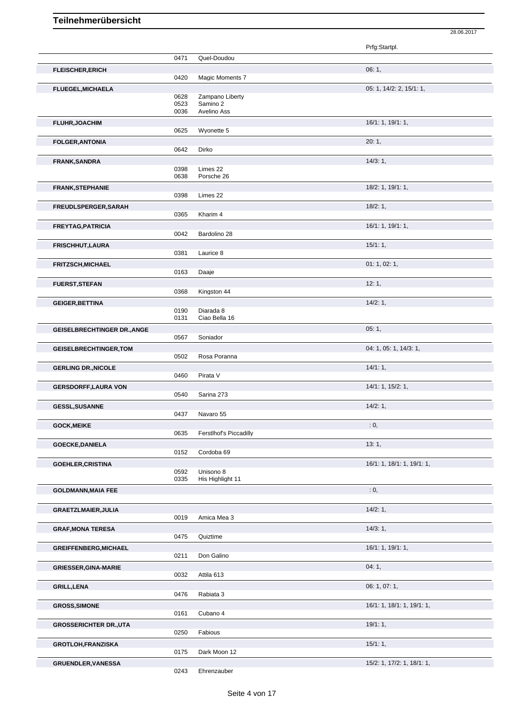Prfg:Startpl. 0471 Quel-Doudou **FLEISCHER,ERICH** 06: 1, 0420 Magic Moments 7 **FLUEGEL,MICHAELA** 05: 1, 14/2: 2, 15/1: 1, 0628 Zampano Liberty<br>0523 Samino 2 Samino 2 0036 Avelino Ass **FLUHR,JOACHIM** 16/1: 1, 19/1: 1, 19/1: 1, 19/1: 1, 19/1: 1, 19/1: 1, 19/1: 1, 19/1: 1, 19/1: 1, 19/1: 1, 19/1: 1, 19/1: 1, 19/1: 1, 19/1: 1, 19/1: 1, 19/1: 1, 19/1: 1, 19/1: 1, 19/1: 1, 19/1: 1, 19/1: 1, 19/1: 1, 19/1: 1, 0625 Wyonette 5 **FOLGER,ANTONIA** 20: 1, 0642 Dirko **FRANK,SANDRA** 14/3: 1, 2008 14/3: 1, 2008 14/4/3: 1, 2009 14/4/3: 1, 2009 14/4/4: 22 0398 Limes 22<br>0638 Porsche 2 Porsche 26 **FRANK,STEPHANIE** 18/2: 1, 19/1: 1, 0398 Limes 22 **FREUDLSPERGER, SARAH** 18/2: 1, 20065 Kharim 4 20065 2007 18/2: 1, 20086 2016 Kharim 4 **FREYTAG, PATRICIA** 19/1: 1, 19/1: 1, 19/1: 1, 19/1: 1, 19/1: 1, 19/1: 1, 19/1: 1, 19/1: 1, 19/1: 1, 19/1: 1, 19/1: 1, 19/1: 1, 19/1: 1, 19/1: 1, 19/1: 1, 19/1: 1, 19/1: 1, 19/1: 1, 19/1: 1, 19/1: 1, 19/1: 1, 19/1: 1, 19/1 Bardolino 28 **FRISCHHUT,LAURA** 15/1: 1, 2008 14: 1, 2008 15: 1, 2008 15: 1, 2008 15: 1, 2008 15: 1, 2009 15: 1, 2009 15: 1, 2009 15: 1, 2009 15: 1, 2009 15: 1, 2009 15: 2009 15: 2009 15: 2009 15: 2009 15: 2009 15: 2009 15: 2009 15: 200 Laurice 8 **FRITZSCH,MICHAEL** 01: 1, 02: 1, 02: 1, 02: 1, 02: 1, 02: 1, 02: 1, 02: 1, 02: 1, 02: 1, 02: 1, 02: 1, 02: 1, 02: 1, Daaje **FUERST,STEFAN** 12: 1, Kingston 44 **GEIGER,BETTINA** 14/2: 1, 0190 Diarada 8<br>0131 Ciao Bella Ciao Bella 16 **GEISELBRECHTINGER DR.,ANGE** 05: 1, **05: 1,** 05: 1, 05: 1, 05: 1, 05: 1, 05: 1, 05: 1, 05: 1, 05: 1, 05: 1, 05: 1, 05: 1, 05: 1, 05: 1, 05: 1, 05: 1, 05: 1, 05: 1, 05: 1, 05: 1, 05: 1, 05: 1, 05: 1, 05: 1, 05: 1, 05: 1, 05 0567 Soniador **GEISELBRECHTINGER,TOM** 04: 1, 05: 1, 14/3: 1, 0502 Rosa Poranna **GERLING DR.,NICOLE** 14/1: 1, 0460 Pirata V **GERSDORFF,LAURA VON** 14/1: 1, 15/2: 1, 0540 Sarina 273 **GESSL,SUSANNE** 14/2: 1, 0437 Navaro 55 **GOCK,MEIKE** : 0, 0635 Ferstlhof's Piccadilly **GOECKE,DANIELA** 13: 1,<br>
0152 Cordoba 69 Cordoba 69 **GOEHLER, CRISTINA** 16/1: 1, 18/1: 1, 19/1: 1, 19/1: 1, 19/1: 1, 19/1: 1, 19/1: 1, 19/1: 1, 19/1: 1, 19/1: 1, 19/1: 1, 19/1: 1, 19/1: 1, 19/1: 1, 19/1: 1, 19/1: 1, 19/1: 1, 19/1: 1, 19/1: 1, 19/1: 1, 19/1: 1, 19/1: 1, 19/1 0592 Unisono 8<br>0335 His Highlig His Highlight 11 **GOLDMANN,MAIA FEE** : 0, **GRAETZLMAIER, JULIA** 14/2: 1, 2019 Amica Mea 3 Amica Mea 3 **GRAF, MONA TERESA** 14/3: 1, 2012 0475 Quiztime **Quiztime GREIFFENBERG, MICHAEL** 1, 1991: 1, 1992: 1, 1992: 1, 1993: 1, 1994: 1, 1994: 1, 1994: 1, 1994: 1, 1994: 1, 1994: 1, 1994: 1, 1994: 1, 1994: 1, 1994: 1, 1994: 1, 1994: 1, 1994: 1, 1994: 1, 1994: 1, 1994: 1, 1994: 1, 1994: 0211 Don Galino **GRIESSER,GINA-MARIE** 04: 1, 0032 Attila 613 **GRILL,LENA** 06: 1, 07: 1, 0476 Rabiata 3 **GROSS, SIMONE** 16/1: 1, 19/1: 1, 19/1: 1, 19/1: 1, 19/1: 1, 19/1: 1, 19/1: 1, 19/1: 1, 19/1: 1, 19/1: 1, 19/1: 1, 19/1: 1, 19/1: 1, 19/1: 1, 19/1: 1, 19/1: 1, 19/1: 1, 19/1: 1, 19/1: 1, 19/1: 1, 19/1: 1, 19/1: 1, 19/1: 1, 0161 Cubano 4 **GROSSERICHTER DR.,UTA** 19/1: 1, 0250 Fabious **GROTLOH,FRANZISKA** 15/1: 1, 0175 Dark Moon 12 **GRUENDLER,VANESSA** 15/2: 1, 17/2: 1, 18/1: 1,

28.06.2017

0243 Ehrenzauber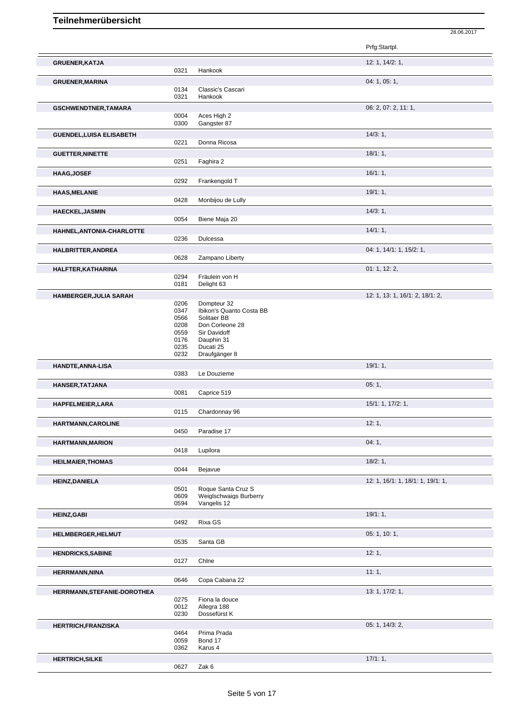|                                 |              |                                       | Prfg:Startpl.                     |
|---------------------------------|--------------|---------------------------------------|-----------------------------------|
| <b>GRUENER, KATJA</b>           |              |                                       | 12: 1, 14/2: 1,                   |
|                                 | 0321         | Hankook                               |                                   |
| <b>GRUENER, MARINA</b>          |              |                                       | 04: 1, 05: 1,                     |
|                                 | 0134         | Classic's Cascari                     |                                   |
|                                 | 0321         | Hankook                               |                                   |
| <b>GSCHWENDTNER,TAMARA</b>      |              |                                       | 06: 2, 07: 2, 11: 1,              |
|                                 | 0004<br>0300 | Aces High 2<br>Gangster 87            |                                   |
|                                 |              |                                       |                                   |
| <b>GUENDEL, LUISA ELISABETH</b> | 0221         | Donna Ricosa                          | 14/3:1,                           |
|                                 |              |                                       |                                   |
| <b>GUETTER, NINETTE</b>         | 0251         | Faghira 2                             | 18/1:1,                           |
|                                 |              |                                       |                                   |
| <b>HAAG, JOSEF</b>              | 0292         | Frankengold T                         | 16/1:1,                           |
|                                 |              |                                       |                                   |
| <b>HAAS, MELANIE</b>            | 0428         | Monbijou de Lully                     | 19/1:1,                           |
|                                 |              |                                       |                                   |
| <b>HAECKEL, JASMIN</b>          | 0054         |                                       | 14/3:1,                           |
|                                 |              | Biene Maja 20                         |                                   |
| HAHNEL, ANTONIA-CHARLOTTE       |              |                                       | $14/1:1$ ,                        |
|                                 | 0236         | Dulcessa                              |                                   |
| HALBRITTER, ANDREA              |              |                                       | 04: 1, 14/1: 1, 15/2: 1,          |
|                                 | 0628         | Zampano Liberty                       |                                   |
| HALFTER, KATHARINA              |              |                                       | 01: 1, 12: 2,                     |
|                                 | 0294<br>0181 | Fräulein von H<br>Delight 63          |                                   |
|                                 |              |                                       |                                   |
| <b>HAMBERGER, JULIA SARAH</b>   | 0206         | Dompteur 32                           | 12: 1, 13: 1, 16/1: 2, 18/1: 2,   |
|                                 | 0347         | Ibikon's Quanto Costa BB              |                                   |
|                                 | 0566         | Solitaer BB                           |                                   |
|                                 | 0208         | Don Corleone 28                       |                                   |
|                                 | 0559<br>0176 | Sir Davidoff<br>Dauphin 31            |                                   |
|                                 | 0235         | Ducati 25                             |                                   |
|                                 | 0232         | Draufgänger 8                         |                                   |
| <b>HANDTE, ANNA-LISA</b>        |              |                                       | 19/1:1,                           |
|                                 | 0383         | Le Douzieme                           |                                   |
| HANSER, TATJANA                 |              |                                       | 05:1,                             |
|                                 | 0081         | Caprice 519                           |                                   |
| HAPFELMEIER, LARA               |              |                                       | 15/1: 1, 17/2: 1,                 |
|                                 | 0115         | Chardonnay 96                         |                                   |
| <b>HARTMANN, CAROLINE</b>       |              |                                       | 12:1.                             |
|                                 | 0450         | Paradise 17                           |                                   |
| <b>HARTMANN, MARION</b>         |              |                                       | 04:1,                             |
|                                 | 0418         | Lupilora                              |                                   |
| <b>HEILMAIER, THOMAS</b>        |              |                                       | 18/2:1,                           |
|                                 | 0044         | Bejavue                               |                                   |
| <b>HEINZ, DANIELA</b>           |              |                                       | 12: 1, 16/1: 1, 18/1: 1, 19/1: 1, |
|                                 | 0501         | Roque Santa Cruz S                    |                                   |
|                                 | 0609<br>0594 | Weiglschwaigs Burberry<br>Vangelis 12 |                                   |
|                                 |              |                                       |                                   |
| <b>HEINZ, GABI</b>              | 0492         | Rixa GS                               | 19/1:1,                           |
|                                 |              |                                       |                                   |
| HELMBERGER, HELMUT              | 0535         | Santa GB                              | 05: 1, 10: 1,                     |
|                                 |              |                                       |                                   |
| <b>HENDRICKS, SABINE</b>        | 0127         | Chine                                 | 12:1,                             |
|                                 |              |                                       |                                   |
| <b>HERRMANN, NINA</b>           | 0646         | Copa Cabana 22                        | 11:1,                             |
|                                 |              |                                       |                                   |
|                                 |              |                                       |                                   |
| HERRMANN, STEFANIE-DOROTHEA     |              |                                       | 13: 1, 17/2: 1,                   |
|                                 | 0275         | Fiona la douce                        |                                   |
|                                 | 0012<br>0230 | Allegra 188<br>Dossefürst K           |                                   |
|                                 |              |                                       |                                   |
| <b>HERTRICH,FRANZISKA</b>       | 0464         | Prima Prada                           | 05: 1, 14/3: 2,                   |
|                                 | 0059         | Bond 17                               |                                   |
|                                 | 0362         | Karus 4                               |                                   |
| <b>HERTRICH, SILKE</b>          | 0627         | Zak 6                                 | 17/1:1,                           |

28.06.2017

Zak 6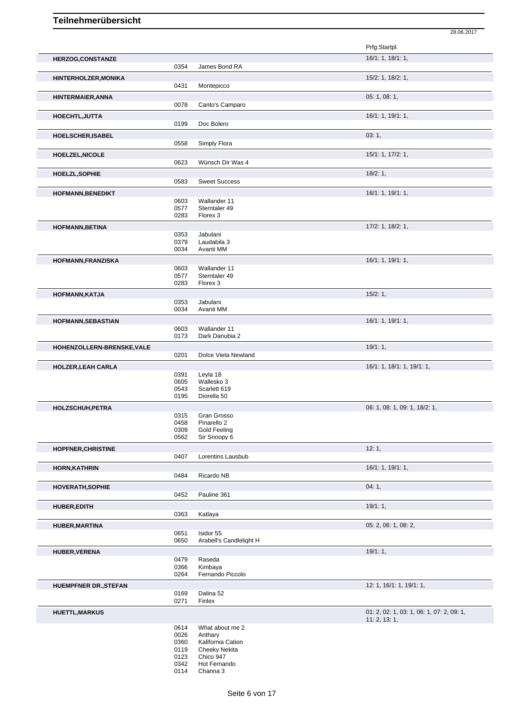28.06.2017 Prfg:Startpl.

| HERZOG, CONSTANZE            |              |                                      | 16/1: 1, 18/1: 1,                         |
|------------------------------|--------------|--------------------------------------|-------------------------------------------|
|                              | 0354         | James Bond RA                        |                                           |
| <b>HINTERHOLZER, MONIKA</b>  |              |                                      | 15/2: 1, 18/2: 1,                         |
|                              | 0431         | Montepicco                           |                                           |
|                              |              |                                      |                                           |
| <b>HINTERMAIER, ANNA</b>     | 0078         | Canto's Camparo                      | 05: 1, 08: 1,                             |
|                              |              |                                      |                                           |
| <b>HOECHTL, JUTTA</b>        |              |                                      | 16/1: 1, 19/1: 1,                         |
|                              | 0199         | Doc Bolero                           |                                           |
| HOELSCHER, ISABEL            |              |                                      | 03:1,                                     |
|                              | 0558         | Simply Flora                         |                                           |
| <b>HOELZEL, NICOLE</b>       |              |                                      | 15/1: 1, 17/2: 1,                         |
|                              | 0623         | Wünsch Dir Was 4                     |                                           |
|                              |              |                                      |                                           |
| <b>HOELZL, SOPHIE</b>        |              |                                      | $18/2:1$ ,                                |
|                              | 0583         | <b>Sweet Success</b>                 |                                           |
| <b>HOFMANN, BENEDIKT</b>     |              |                                      | 16/1: 1, 19/1: 1,                         |
|                              | 0603         | Wallander 11                         |                                           |
|                              | 0577         | Sterntaler 49                        |                                           |
|                              | 0283         | Florex 3                             |                                           |
| <b>HOFMANN, BETINA</b>       |              |                                      | 17/2: 1, 18/2: 1,                         |
|                              | 0353         | Jabulani                             |                                           |
|                              | 0379         | Laudabila 3                          |                                           |
|                              | 0034         | Avanti MM                            |                                           |
| HOFMANN, FRANZISKA           |              |                                      | 16/1: 1, 19/1: 1,                         |
|                              | 0603         | Wallander 11                         |                                           |
|                              | 0577         | Sterntaler 49                        |                                           |
|                              | 0283         | Florex 3                             |                                           |
| HOFMANN, KATJA               |              |                                      | 15/2:1,                                   |
|                              | 0353         | Jabulani                             |                                           |
|                              | 0034         | Avanti MM                            |                                           |
| <b>HOFMANN, SEBASTIAN</b>    |              |                                      | 16/1: 1, 19/1: 1,                         |
|                              | 0603         | Wallander 11                         |                                           |
|                              | 0173         | Dark Danubia 2                       |                                           |
|                              |              |                                      | 19/1:1,                                   |
| HOHENZOLLERN-BRENSKE, VALE   | 0201         | Dolce Vieta Newland                  |                                           |
|                              |              |                                      |                                           |
| <b>HOLZER, LEAH CARLA</b>    |              |                                      | 16/1: 1, 18/1: 1, 19/1: 1,                |
|                              | 0391         | Leyla 18                             |                                           |
|                              | 0605<br>0543 | Wallesko 3<br>Scarlett 619           |                                           |
|                              | 0195         | Diorella 50                          |                                           |
|                              |              |                                      |                                           |
| <b>HOLZSCHUH, PETRA</b>      |              | Gran Grosso                          | 06: 1, 08: 1, 09: 1, 18/2: 1,             |
|                              | 0315<br>0458 | Pinarello 2                          |                                           |
|                              | 0309         | Gold Feeling                         |                                           |
|                              | 0562         | Sir Snoopy 6                         |                                           |
|                              |              |                                      | 12:1,                                     |
| <b>HOPFNER, CHRISTINE</b>    | 0407         | Lorentins Lausbub                    |                                           |
|                              |              |                                      |                                           |
| <b>HORN, KATHRIN</b>         |              |                                      | 16/1: 1, 19/1: 1,                         |
|                              | 0484         | Ricardo NB                           |                                           |
| <b>HOVERATH, SOPHIE</b>      |              |                                      | 04:1,                                     |
|                              | 0452         | Pauline 361                          |                                           |
| <b>HUBER, EDITH</b>          |              |                                      | 19/1:1,                                   |
|                              | 0363         | Katlaya                              |                                           |
|                              |              |                                      |                                           |
| <b>HUBER, MARTINA</b>        |              |                                      | 05: 2, 06: 1, 08: 2,                      |
|                              | 0651<br>0650 | Isidor 55<br>Arabell's Candlelight H |                                           |
|                              |              |                                      |                                           |
| <b>HUBER, VERENA</b>         |              |                                      | 19/1:1,                                   |
|                              | 0479         | Raseda                               |                                           |
|                              | 0366<br>0264 | Kimbaya<br>Fernando Piccolo          |                                           |
|                              |              |                                      |                                           |
| <b>HUEMPFNER DR., STEFAN</b> |              |                                      | 12: 1, 16/1: 1, 19/1: 1,                  |
|                              | 0169         | Dalina 52                            |                                           |
|                              | 0271         | Finlex                               |                                           |
| <b>HUETTL, MARKUS</b>        |              |                                      | 01: 2, 02: 1, 03: 1, 06: 1, 07: 2, 09: 1, |
|                              |              |                                      | 11: 2, 13: 1,                             |
|                              | 0614         | What about me 2                      |                                           |
|                              | 0026         | Anthary                              |                                           |
|                              | 0360         | Kalifornia Cation                    |                                           |
|                              | 0119         | <b>Cheeky Nekita</b>                 |                                           |
|                              |              |                                      |                                           |
|                              | 0123         | Chico 947                            |                                           |
|                              | 0342<br>0114 | Hot Fernando<br>Channa 3             |                                           |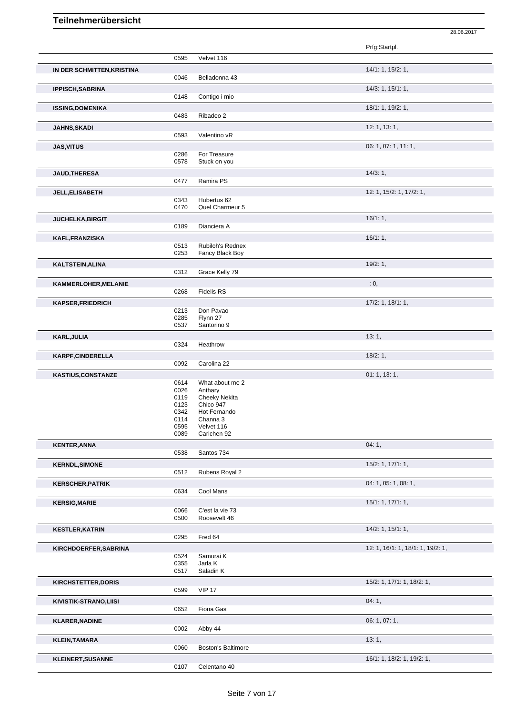|                            |              |                           | Prfg:Startpl.                     |
|----------------------------|--------------|---------------------------|-----------------------------------|
|                            | 0595         | Velvet 116                |                                   |
| IN DER SCHMITTEN, KRISTINA |              |                           | 14/1: 1, 15/2: 1,                 |
|                            | 0046         | Belladonna 43             |                                   |
| <b>IPPISCH, SABRINA</b>    |              |                           | 14/3: 1, 15/1: 1,                 |
|                            | 0148         | Contigo i mio             |                                   |
| <b>ISSING, DOMENIKA</b>    |              |                           | 18/1: 1, 19/2: 1,                 |
|                            | 0483         | Ribadeo 2                 |                                   |
| <b>JAHNS, SKADI</b>        |              |                           | 12: 1, 13: 1,                     |
|                            | 0593         | Valentino vR              |                                   |
| <b>JAS, VITUS</b>          |              |                           | 06: 1, 07: 1, 11: 1,              |
|                            | 0286         | For Treasure              |                                   |
|                            | 0578         | Stuck on you              |                                   |
| <b>JAUD, THERESA</b>       |              |                           | 14/3:1,                           |
|                            | 0477         | Ramira PS                 |                                   |
| <b>JELL, ELISABETH</b>     |              |                           | 12: 1, 15/2: 1, 17/2: 1,          |
|                            | 0343         | Hubertus 62               |                                   |
|                            | 0470         | Quel Charmeur 5           |                                   |
| <b>JUCHELKA, BIRGIT</b>    |              |                           | 16/1:1,                           |
|                            | 0189         | Dianciera A               |                                   |
| KAFL, FRANZISKA            |              |                           | 16/1:1,                           |
|                            | 0513         | Rubiloh's Rednex          |                                   |
|                            | 0253         | Fancy Black Boy           |                                   |
| <b>KALTSTEIN, ALINA</b>    |              |                           | 19/2:1,                           |
|                            | 0312         | Grace Kelly 79            |                                   |
| KAMMERLOHER, MELANIE       |              |                           | : 0,                              |
|                            | 0268         | <b>Fidelis RS</b>         |                                   |
| <b>KAPSER, FRIEDRICH</b>   |              |                           | 17/2: 1, 18/1: 1,                 |
|                            | 0213         | Don Pavao                 |                                   |
|                            | 0285         | Flynn 27                  |                                   |
|                            | 0537         | Santorino 9               |                                   |
| KARL, JULIA                |              |                           | 13:1,                             |
|                            | 0324         | Heathrow                  |                                   |
| KARPF, CINDERELLA          |              |                           | 18/2:1,                           |
|                            |              |                           |                                   |
|                            | 0092         | Carolina 22               |                                   |
|                            |              |                           |                                   |
| <b>KASTIUS, CONSTANZE</b>  | 0614         | What about me 2           | 01: 1, 13: 1,                     |
|                            | 0026         | Anthary                   |                                   |
|                            | 0119         | <b>Cheeky Nekita</b>      |                                   |
|                            | 0123         | Chico 947                 |                                   |
|                            | 0342<br>0114 | Hot Fernando<br>Channa 3  |                                   |
|                            | 0595         | Velvet 116                |                                   |
|                            | 0089         | Carlchen 92               |                                   |
| <b>KENTER, ANNA</b>        |              |                           | 04:1,                             |
|                            | 0538         | Santos 734                |                                   |
| <b>KERNDL, SIMONE</b>      |              |                           | $15/2$ : 1, 17/1: 1,              |
|                            | 0512         | Rubens Royal 2            |                                   |
| <b>KERSCHER, PATRIK</b>    |              |                           | 04: 1, 05: 1, 08: 1,              |
|                            | 0634         | Cool Mans                 |                                   |
| <b>KERSIG, MARIE</b>       |              |                           | 15/1: 1, 17/1: 1,                 |
|                            | 0066         | C'est la vie 73           |                                   |
|                            | 0500         | Roosevelt 46              |                                   |
| <b>KESTLER, KATRIN</b>     |              |                           | $14/2$ : 1, $15/1$ : 1,           |
|                            | 0295         | Fred 64                   |                                   |
| KIRCHDOERFER, SABRINA      |              |                           | 12: 1, 16/1: 1, 18/1: 1, 19/2: 1, |
|                            | 0524         | Samurai K                 |                                   |
|                            | 0355         | Jarla K                   |                                   |
|                            | 0517         | Saladin K                 |                                   |
| <b>KIRCHSTETTER, DORIS</b> |              |                           | 15/2: 1, 17/1: 1, 18/2: 1,        |
|                            | 0599         | <b>VIP 17</b>             |                                   |
| KIVISTIK-STRANO,LIISI      |              |                           | 04:1,                             |
|                            | 0652         | Fiona Gas                 |                                   |
| <b>KLARER, NADINE</b>      |              |                           | 06: 1, 07: 1,                     |
|                            | 0002         | Abby 44                   |                                   |
| <b>KLEIN, TAMARA</b>       |              |                           | 13:1,                             |
|                            | 0060         | <b>Boston's Baltimore</b> |                                   |
| <b>KLEINERT, SUSANNE</b>   |              |                           | 16/1: 1, 18/2: 1, 19/2: 1,        |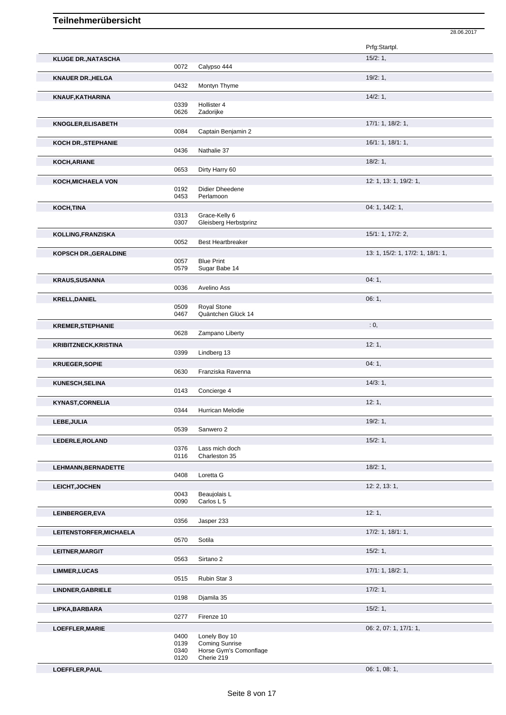|                              |              |                                        | Prfg:Startpl.                     |
|------------------------------|--------------|----------------------------------------|-----------------------------------|
| <b>KLUGE DR., NATASCHA</b>   |              |                                        | 15/2:1,                           |
|                              | 0072         | Calypso 444                            |                                   |
| <b>KNAUER DR., HELGA</b>     |              |                                        | 19/2:1,                           |
|                              | 0432         | Montyn Thyme                           |                                   |
| KNAUF, KATHARINA             |              |                                        | 14/2:1,                           |
|                              | 0339<br>0626 | Hollister 4<br>Zadorijke               |                                   |
| <b>KNOGLER, ELISABETH</b>    |              |                                        | 17/1: 1, 18/2: 1,                 |
|                              | 0084         | Captain Benjamin 2                     |                                   |
| <b>KOCH DR., STEPHANIE</b>   |              |                                        | 16/1: 1, 18/1: 1,                 |
|                              | 0436         | Nathalie 37                            |                                   |
| KOCH, ARIANE                 |              |                                        | 18/2:1,                           |
|                              | 0653         | Dirty Harry 60                         |                                   |
| <b>KOCH, MICHAELA VON</b>    |              |                                        | 12: 1, 13: 1, 19/2: 1,            |
|                              | 0192         | Didier Dheedene                        |                                   |
|                              | 0453         | Perlamoon                              |                                   |
| KOCH, TINA                   |              |                                        | 04: 1, 14/2: 1,                   |
|                              | 0313<br>0307 | Grace-Kelly 6<br>Gleisberg Herbstprinz |                                   |
| KOLLING, FRANZISKA           |              |                                        | 15/1: 1, 17/2: 2,                 |
|                              | 0052         | <b>Best Heartbreaker</b>               |                                   |
| KOPSCH DR., GERALDINE        |              |                                        | 13: 1, 15/2: 1, 17/2: 1, 18/1: 1, |
|                              | 0057         | <b>Blue Print</b>                      |                                   |
|                              | 0579         | Sugar Babe 14                          |                                   |
| <b>KRAUS, SUSANNA</b>        |              |                                        | 04:1,                             |
|                              | 0036         | Avelino Ass                            |                                   |
| <b>KRELL, DANIEL</b>         |              |                                        | 06:1,                             |
|                              | 0509<br>0467 | Royal Stone<br>Quäntchen Glück 14      |                                   |
|                              |              |                                        | : 0,                              |
| <b>KREMER, STEPHANIE</b>     | 0628         | Zampano Liberty                        |                                   |
| <b>KRIBITZNECK, KRISTINA</b> |              |                                        | 12:1,                             |
|                              | 0399         | Lindberg 13                            |                                   |
| <b>KRUEGER, SOPIE</b>        |              |                                        | 04:1,                             |
|                              | 0630         | Franziska Ravenna                      |                                   |
| <b>KUNESCH, SELINA</b>       |              |                                        | 14/3:1,                           |
|                              | 0143         | Concierge 4                            |                                   |
| <b>KYNAST, CORNELIA</b>      |              |                                        | 12:1,                             |
|                              | 0344         | <b>Hurrican Melodie</b>                |                                   |
| LEBE, JULIA                  |              |                                        | 19/2:1,                           |
|                              | 0539         | Sanwero 2                              |                                   |
| LEDERLE, ROLAND              |              |                                        | 15/2:1,                           |
|                              | 0376<br>0116 | Lass mich doch<br>Charleston 35        |                                   |
| LEHMANN, BERNADETTE          |              |                                        | 18/2:1,                           |
|                              | 0408         | Loretta G                              |                                   |
| <b>LEICHT, JOCHEN</b>        |              |                                        | 12: 2, 13: 1,                     |
|                              | 0043         | Beaujolais L                           |                                   |
|                              | 0090         | Carlos L 5                             |                                   |
| LEINBERGER, EVA              |              |                                        | 12:1,                             |
|                              | 0356         | Jasper 233                             |                                   |
| LEITENSTORFER, MICHAELA      |              |                                        | 17/2: 1, 18/1: 1,                 |
|                              | 0570         | Sotila                                 |                                   |
| LEITNER, MARGIT              | 0563         | Sirtano <sub>2</sub>                   | 15/2:1,                           |
|                              |              |                                        | 17/1: 1, 18/2: 1,                 |
| <b>LIMMER, LUCAS</b>         | 0515         | Rubin Star 3                           |                                   |
|                              |              |                                        | 17/2:1,                           |
| <b>LINDNER, GABRIELE</b>     | 0198         | Djamila 35                             |                                   |
| LIPKA, BARBARA               |              |                                        | 15/2:1,                           |
|                              | 0277         | Firenze 10                             |                                   |
| LOEFFLER, MARIE              |              |                                        | 06: 2, 07: 1, 17/1: 1,            |
|                              | 0400         | Lonely Boy 10                          |                                   |
|                              | 0139         | <b>Coming Sunrise</b>                  |                                   |
|                              | 0340<br>0120 | Horse Gym's Comonflage<br>Cherie 219   |                                   |

**LOEFFLER,PAUL** 06: 1, 08: 1,

28.06.2017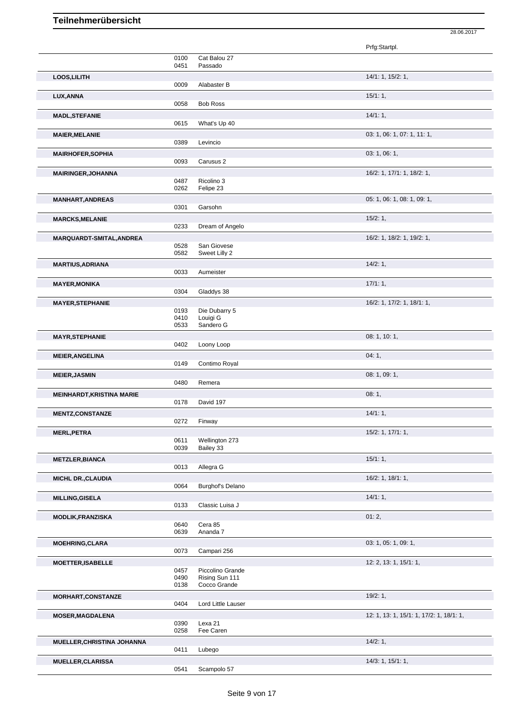|                                  |              |                           | Prfg:Startpl.                            |
|----------------------------------|--------------|---------------------------|------------------------------------------|
|                                  | 0100         | Cat Balou 27              |                                          |
|                                  | 0451         | Passado                   |                                          |
| LOOS, LILITH                     |              |                           | 14/1: 1, 15/2: 1,                        |
|                                  | 0009         | Alabaster B               |                                          |
| LUX, ANNA                        |              |                           | 15/1:1,                                  |
|                                  | 0058         | <b>Bob Ross</b>           |                                          |
| <b>MADL, STEFANIE</b>            |              |                           | 14/1:1,                                  |
|                                  | 0615         | What's Up 40              |                                          |
| <b>MAIER, MELANIE</b>            |              |                           | 03: 1, 06: 1, 07: 1, 11: 1,              |
|                                  | 0389         | Levincio                  |                                          |
| <b>MAIRHOFER, SOPHIA</b>         |              |                           | 03: 1, 06: 1,                            |
|                                  | 0093         | Carusus 2                 |                                          |
| <b>MAIRINGER, JOHANNA</b>        | 0487         | Ricolino 3                | 16/2: 1, 17/1: 1, 18/2: 1,               |
|                                  | 0262         | Felipe 23                 |                                          |
| <b>MANHART, ANDREAS</b>          |              |                           | 05: 1, 06: 1, 08: 1, 09: 1,              |
|                                  | 0301         | Garsohn                   |                                          |
| <b>MARCKS, MELANIE</b>           |              |                           | 15/2:1,                                  |
|                                  | 0233         | Dream of Angelo           |                                          |
| MARQUARDT-SMITAL, ANDREA         |              |                           | 16/2: 1, 18/2: 1, 19/2: 1,               |
|                                  | 0528         | San Giovese               |                                          |
|                                  | 0582         | Sweet Lilly 2             |                                          |
| <b>MARTIUS, ADRIANA</b>          |              |                           | 14/2:1,                                  |
|                                  | 0033         | Aumeister                 |                                          |
| <b>MAYER, MONIKA</b>             |              |                           | $17/1:1$ ,                               |
|                                  | 0304         | Gladdys 38                |                                          |
| <b>MAYER, STEPHANIE</b>          | 0193         |                           | 16/2: 1, 17/2: 1, 18/1: 1,               |
|                                  | 0410         | Die Dubarry 5<br>Louigi G |                                          |
|                                  | 0533         | Sandero G                 |                                          |
| <b>MAYR, STEPHANIE</b>           |              |                           | 08: 1, 10: 1,                            |
|                                  | 0402         | Loony Loop                |                                          |
| <b>MEIER, ANGELINA</b>           |              |                           | 04:1,                                    |
|                                  | 0149         | Contimo Royal             |                                          |
| <b>MEIER, JASMIN</b>             |              |                           | 08: 1, 09: 1,                            |
|                                  | 0480         | Remera                    |                                          |
| <b>MEINHARDT, KRISTINA MARIE</b> |              |                           | 08:1,                                    |
|                                  | 0178         | David 197                 |                                          |
| <b>MENTZ,CONSTANZE</b>           |              |                           | 14/1:1,                                  |
|                                  | 0272         | Finway                    |                                          |
| <b>MERL, PETRA</b>               | 0611         | Wellington 273            | 15/2: 1, 17/1: 1,                        |
|                                  | 0039         | Bailey 33                 |                                          |
| <b>METZLER, BIANCA</b>           |              |                           | 15/1:1,                                  |
|                                  | 0013         | Allegra G                 |                                          |
| <b>MICHL DR., CLAUDIA</b>        |              |                           | 16/2: 1, 18/1: 1,                        |
|                                  | 0064         | Burghof's Delano          |                                          |
| <b>MILLING, GISELA</b>           |              |                           | 14/1:1,                                  |
|                                  | 0133         | Classic Luisa J           |                                          |
| <b>MODLIK, FRANZISKA</b>         |              |                           | 01:2,                                    |
|                                  | 0640         | Cera 85                   |                                          |
|                                  | 0639         | Ananda 7                  |                                          |
| <b>MOEHRING, CLARA</b>           | 0073         | Campari 256               | 03: 1, 05: 1, 09: 1,                     |
|                                  |              |                           |                                          |
| <b>MOETTER, ISABELLE</b>         | 0457         | Piccolino Grande          | 12: 2, 13: 1, 15/1: 1,                   |
|                                  | 0490         | Rising Sun 111            |                                          |
|                                  | 0138         | Cocco Grande              |                                          |
| MORHART, CONSTANZE               |              |                           | 19/2:1,                                  |
|                                  | 0404         | Lord Little Lauser        |                                          |
| <b>MOSER, MAGDALENA</b>          |              |                           | 12: 1, 13: 1, 15/1: 1, 17/2: 1, 18/1: 1, |
|                                  | 0390<br>0258 | Lexa 21<br>Fee Caren      |                                          |
|                                  |              |                           |                                          |
| MUELLER, CHRISTINA JOHANNA       |              |                           | 14/2:1,                                  |
|                                  |              |                           |                                          |
|                                  | 0411         | Lubego                    |                                          |
| <b>MUELLER, CLARISSA</b>         | 0541         | Scampolo 57               | 14/3: 1, 15/1: 1,                        |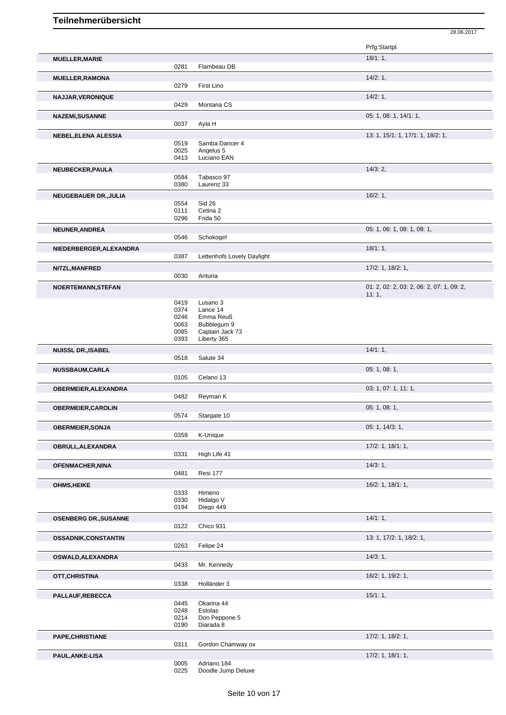|                                            |              |                                   | Prfg:Startpl.                             |
|--------------------------------------------|--------------|-----------------------------------|-------------------------------------------|
|                                            |              |                                   |                                           |
| <b>MUELLER, MARIE</b>                      |              |                                   | 18/1:1,                                   |
|                                            | 0281         | Flambeau DB                       |                                           |
| <b>MUELLER, RAMONA</b>                     |              |                                   | 14/2:1,                                   |
|                                            | 0279         | First Lino                        |                                           |
|                                            |              |                                   | 14/2:1,                                   |
| NAJJAR, VERONIQUE                          |              |                                   |                                           |
|                                            | 0429         | Montana CS                        |                                           |
| <b>NAZEMI, SUSANNE</b>                     |              |                                   | 05: 1, 08: 1, 14/1: 1,                    |
|                                            | 0037         | Ayla H                            |                                           |
|                                            |              |                                   | 13: 1, 15/1: 1, 17/1: 1, 18/2: 1,         |
| NEBEL, ELENA ALESSIA                       | 0519         | Samba Dancer 4                    |                                           |
|                                            | 0025         | Angelus 5                         |                                           |
|                                            | 0413         | Luciano EAN                       |                                           |
|                                            |              |                                   |                                           |
| NEUBECKER, PAULA                           |              |                                   | 14/3:2,                                   |
|                                            | 0584         | Tabasco 97                        |                                           |
|                                            | 0380         | Laurenz 33                        |                                           |
| <b>NEUGEBAUER DR., JULIA</b>               |              |                                   | 16/2:1,                                   |
|                                            | 0554         | <b>Sid 26</b>                     |                                           |
|                                            | 0111         | Cetina 2                          |                                           |
|                                            | 0296         | Frida 50                          |                                           |
|                                            |              |                                   |                                           |
| NEUNER, ANDREA                             |              |                                   | 05: 1, 06: 1, 08: 1, 09: 1,               |
|                                            | 0546         | Schokogirl                        |                                           |
| NIEDERBERGER, ALEXANDRA                    |              |                                   | 18/1:1,                                   |
|                                            | 0387         | Lettenhofs Lovely Daylight        |                                           |
|                                            |              |                                   |                                           |
| NITZL, MANFRED                             |              |                                   | 17/2: 1, 18/2: 1,                         |
|                                            | 0030         | Anturia                           |                                           |
| <b>NOERTEMANN, STEFAN</b>                  |              |                                   | 01: 2, 02: 2, 03: 2, 06: 2, 07: 1, 09: 2, |
|                                            |              |                                   | 11:1,                                     |
|                                            | 0419         | Lusano 3                          |                                           |
|                                            | 0374         | Lance 14                          |                                           |
|                                            | 0246         | Emma Reuß                         |                                           |
|                                            | 0063         | Bubblegum 9                       |                                           |
|                                            | 0085         | Captain Jack 73                   |                                           |
|                                            | 0393         | Liberty 365                       |                                           |
|                                            |              |                                   |                                           |
| <b>NUISSL DR., ISABEL</b>                  |              |                                   | 14/1:1,                                   |
|                                            | 0518         | Salute 34                         |                                           |
| <b>NUSSBAUM,CARLA</b>                      |              |                                   | 05: 1, 08: 1,                             |
|                                            | 0105         | Celano 13                         |                                           |
|                                            |              |                                   |                                           |
| <b>OBERMEIER, ALEXANDRA</b>                |              |                                   | 03: 1, 07: 1, 11: 1,                      |
|                                            | 0482         | Reyman K                          |                                           |
| <b>OBERMEIER, CAROLIN</b>                  |              |                                   | 05: 1, 08: 1,                             |
|                                            | 0574         | Stargate 10                       |                                           |
|                                            |              |                                   |                                           |
| <b>OBERMEIER, SONJA</b>                    |              |                                   | 05: 1, 14/3: 1,                           |
|                                            | 0359         | K-Unique                          |                                           |
| OBRULL, ALEXANDRA                          |              |                                   | $17/2$ : 1, $18/1$ : 1,                   |
|                                            | 0331         | High Life 41                      |                                           |
|                                            |              |                                   |                                           |
| <b>OFENMACHER, NINA</b>                    |              |                                   | 14/3:1,                                   |
|                                            | 0481         | Resi 177                          |                                           |
| <b>OHMS, HEIKE</b>                         |              |                                   | 16/2: 1, 18/1: 1,                         |
|                                            | 0333         | Himeno                            |                                           |
|                                            | 0330         | Hidalgo V                         |                                           |
|                                            | 0194         | Diego 449                         |                                           |
|                                            |              |                                   |                                           |
| <b>OSENBERG DR., SUSANNE</b>               |              |                                   | 14/1:1,                                   |
|                                            | 0122         | Chico 931                         |                                           |
| OSSADNIK, CONSTANTIN                       |              |                                   | 13: 1, 17/2: 1, 18/2: 1,                  |
|                                            | 0263         | Felipe 24                         |                                           |
|                                            |              |                                   |                                           |
| OSWALD, ALEXANDRA                          |              |                                   | 14/3:1,                                   |
|                                            | 0433         | Mr. Kennedy                       |                                           |
| OTT, CHRISTINA                             |              |                                   | 16/2: 1, 19/2: 1,                         |
|                                            | 0338         | Holländer 3                       |                                           |
|                                            |              |                                   |                                           |
| PALLAUF, REBECCA                           |              |                                   | 15/1:1,                                   |
|                                            | 0445         | Okarina 44                        |                                           |
|                                            |              | Estolas                           |                                           |
|                                            | 0248         |                                   |                                           |
|                                            | 0214         | Don Peppone 5                     |                                           |
|                                            | 0190         | Diarada 8                         |                                           |
|                                            |              |                                   |                                           |
|                                            |              |                                   | $17/2$ : 1, $18/2$ : 1,                   |
|                                            | 0311         | Gordon Chamway ox                 |                                           |
|                                            |              |                                   | $17/2$ : 1, $18/1$ : 1,                   |
| <b>PAPE, CHRISTIANE</b><br>PAUL, ANKE-LISA | 0005<br>0225 | Adriano 184<br>Doodle Jump Deluxe |                                           |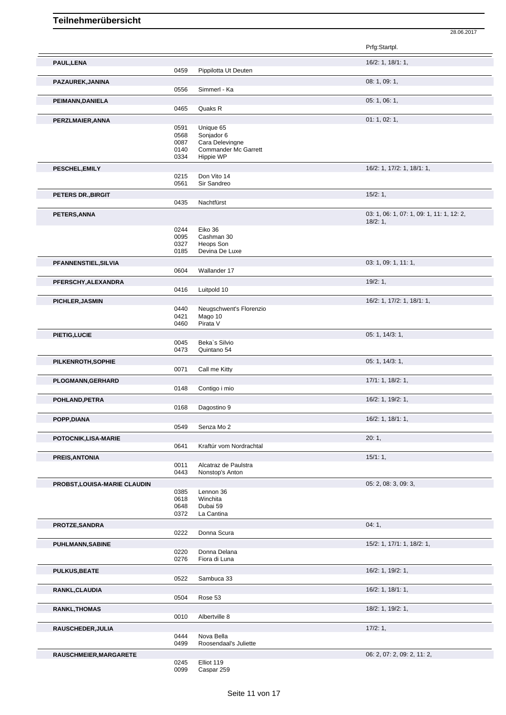|                                     |              |                               | Prfg:Startpl.                             |
|-------------------------------------|--------------|-------------------------------|-------------------------------------------|
| PAUL, LENA                          | 0459         | Pippilotta Ut Deuten          | 16/2: 1, 18/1: 1,                         |
| PAZAUREK, JANINA                    |              |                               | 08: 1, 09: 1,                             |
|                                     | 0556         | Simmerl - Ka                  |                                           |
| PEIMANN, DANIELA                    |              |                               | 05: 1, 06: 1,                             |
|                                     | 0465         | Quaks R                       |                                           |
| PERZLMAIER, ANNA                    |              |                               | 01: 1, 02: 1,                             |
|                                     | 0591         | Unique 65                     |                                           |
|                                     | 0568<br>0087 | Sonjador 6<br>Cara Delevingne |                                           |
|                                     | 0140         | <b>Commander Mc Garrett</b>   |                                           |
|                                     | 0334         | Hippie WP                     |                                           |
| PESCHEL, EMILY                      |              |                               | 16/2: 1, 17/2: 1, 18/1: 1,                |
|                                     | 0215         | Don Vito 14                   |                                           |
|                                     | 0561         | Sir Sandreo                   |                                           |
| PETERS DR., BIRGIT                  |              |                               | 15/2:1,                                   |
|                                     | 0435         | Nachtfürst                    |                                           |
| PETERS, ANNA                        |              |                               | 03: 1, 06: 1, 07: 1, 09: 1, 11: 1, 12: 2, |
|                                     |              |                               | 18/2:1,                                   |
|                                     | 0244         | Eiko 36                       |                                           |
|                                     | 0095         | Cashman 30<br>Heops Son       |                                           |
|                                     | 0327<br>0185 | Devina De Luxe                |                                           |
|                                     |              |                               | 03: 1, 09: 1, 11: 1,                      |
| PFANNENSTIEL, SILVIA                | 0604         | Wallander 17                  |                                           |
|                                     |              |                               |                                           |
| PFERSCHY, ALEXANDRA                 | 0416         | Luitpold 10                   | 19/2:1,                                   |
|                                     |              |                               |                                           |
| PICHLER, JASMIN                     | 0440         | Neugschwent's Florenzio       | 16/2: 1, 17/2: 1, 18/1: 1,                |
|                                     | 0421         | Mago 10                       |                                           |
|                                     | 0460         | Pirata V                      |                                           |
| PIETIG, LUCIE                       |              |                               | 05: 1, 14/3: 1,                           |
|                                     | 0045         | Beka's Silvio                 |                                           |
|                                     | 0473         | Quintano 54                   |                                           |
| PILKENROTH, SOPHIE                  |              |                               | 05: 1, 14/3: 1,                           |
|                                     | 0071         | Call me Kitty                 |                                           |
| <b>PLOGMANN, GERHARD</b>            |              |                               | 17/1: 1, 18/2: 1,                         |
|                                     | 0148         | Contigo i mio                 |                                           |
| POHLAND, PETRA                      |              |                               | 16/2: 1, 19/2: 1,                         |
|                                     | 0168         | Dagostino 9                   |                                           |
| POPP, DIANA                         |              |                               | 16/2: 1, 18/1: 1,                         |
|                                     | 0549         | Senza Mo 2                    |                                           |
| POTOCNIK, LISA-MARIE                |              |                               | 20:1,                                     |
|                                     | 0641         | Kraftúr vom Nordrachtal       |                                           |
| PREIS, ANTONIA                      |              |                               | 15/1:1,                                   |
|                                     | 0011         | Alcatraz de Paulstra          |                                           |
|                                     | 0443         | Nonstop's Anton               |                                           |
| <b>PROBST, LOUISA-MARIE CLAUDIN</b> |              |                               | 05: 2, 08: 3, 09: 3,                      |
|                                     | 0385         | Lennon 36                     |                                           |
|                                     | 0618         | Winchita                      |                                           |
|                                     | 0648         | Dubai 59                      |                                           |
|                                     | 0372         | La Cantina                    |                                           |
| PROTZE, SANDRA                      |              |                               | 04:1,                                     |
|                                     | 0222         | Donna Scura                   |                                           |
| <b>PUHLMANN, SABINE</b>             |              |                               | 15/2: 1, 17/1: 1, 18/2: 1,                |
|                                     | 0220<br>0276 | Donna Delana<br>Fiora di Luna |                                           |
|                                     |              |                               |                                           |
| <b>PULKUS, BEATE</b>                |              |                               | 16/2: 1, 19/2: 1,                         |
|                                     | 0522         | Sambuca 33                    |                                           |
| RANKL, CLAUDIA                      |              |                               | 16/2: 1, 18/1: 1,                         |
|                                     | 0504         | Rose 53                       |                                           |
| <b>RANKL, THOMAS</b>                |              |                               | 18/2: 1, 19/2: 1,                         |
|                                     | 0010         | Albertville 8                 |                                           |
| RAUSCHEDER, JULIA                   |              |                               | 17/2:1,                                   |
|                                     | 0444         | Nova Bella                    |                                           |
|                                     | 0499         | Roosendaal's Juliette         |                                           |
| RAUSCHMEIER, MARGARETE              |              |                               | 06: 2, 07: 2, 09: 2, 11: 2,               |
|                                     | 0245<br>0099 | Elliot 119<br>Caspar 259      |                                           |
|                                     |              |                               |                                           |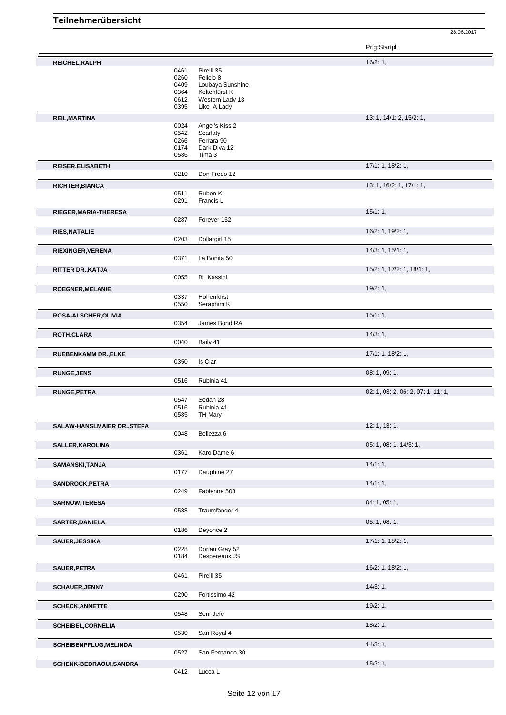|                             |              |                                        | Prfg:Startpl.                      |
|-----------------------------|--------------|----------------------------------------|------------------------------------|
| REICHEL, RALPH              |              |                                        | 16/2:1,                            |
|                             | 0461<br>0260 | Pirelli 35<br>Felicio 8                |                                    |
|                             | 0409         | Loubaya Sunshine                       |                                    |
|                             | 0364         | Keltenfürst K                          |                                    |
|                             | 0612<br>0395 | Western Lady 13<br>Like A Lady         |                                    |
| <b>REIL, MARTINA</b>        |              |                                        | 13: 1, 14/1: 2, 15/2: 1,           |
|                             | 0024         | Angel's Kiss 2                         |                                    |
|                             | 0542<br>0266 | Scarlaty<br>Ferrara 90                 |                                    |
|                             | 0174         | Dark Diva 12                           |                                    |
|                             | 0586         | Tima 3                                 |                                    |
| <b>REISER, ELISABETH</b>    |              |                                        | 17/1: 1, 18/2: 1,                  |
|                             | 0210         | Don Fredo 12                           |                                    |
| <b>RICHTER, BIANCA</b>      | 0511         | Ruben K                                | 13: 1, 16/2: 1, 17/1: 1,           |
|                             | 0291         | Francis L                              |                                    |
| RIEGER, MARIA-THERESA       |              |                                        | 15/1:1,                            |
|                             | 0287         | Forever 152                            |                                    |
| <b>RIES, NATALIE</b>        |              |                                        | 16/2: 1, 19/2: 1,                  |
|                             | 0203         | Dollargirl 15                          |                                    |
| RIEXINGER, VERENA           | 0371         | La Bonita 50                           | 14/3: 1, 15/1: 1,                  |
| RITTER DR., KATJA           |              |                                        | 15/2: 1, 17/2: 1, 18/1: 1,         |
|                             | 0055         | <b>BL Kassini</b>                      |                                    |
| ROEGNER, MELANIE            |              |                                        | 19/2:1,                            |
|                             | 0337         | Hohenfürst                             |                                    |
|                             | 0550         | Seraphim K                             |                                    |
| ROSA-ALSCHER, OLIVIA        | 0354         | James Bond RA                          | 15/1:1,                            |
| ROTH, CLARA                 |              |                                        | 14/3:1,                            |
|                             | 0040         | Baily 41                               |                                    |
| <b>RUEBENKAMM DR., ELKE</b> |              |                                        | 17/1: 1, 18/2: 1,                  |
|                             | 0350         | Is Clar                                |                                    |
| <b>RUNGE, JENS</b>          |              |                                        | 08: 1, 09: 1,                      |
|                             | 0516         | Rubinia 41                             |                                    |
| <b>RUNGE, PETRA</b>         | 0547         | Sedan 28                               | 02: 1, 03: 2, 06: 2, 07: 1, 11: 1, |
|                             | 0516         | Rubinia 41                             |                                    |
|                             | 0585         | <b>TH Mary</b>                         |                                    |
| SALAW-HANSLMAIER DR., STEFA | 0048         | Bellezza 6                             | 12: 1, 13: 1,                      |
| SALLER, KAROLINA            |              |                                        | 05: 1, 08: 1, 14/3: 1,             |
|                             | 0361         | Karo Dame 6                            |                                    |
| SAMANSKI, TANJA             |              |                                        | $14/1:1$ ,                         |
|                             | 0177         | Dauphine 27                            |                                    |
| <b>SANDROCK, PETRA</b>      | 0249         |                                        | 14/1:1,                            |
|                             |              | Fabienne 503                           |                                    |
| <b>SARNOW,TERESA</b>        | 0588         | Traumfänger 4                          | 04: 1, 05: 1,                      |
| <b>SARTER, DANIELA</b>      |              |                                        | 05: 1, 08: 1,                      |
|                             | 0186         | Deyonce 2                              |                                    |
| <b>SAUER, JESSIKA</b>       |              |                                        | 17/1: 1, 18/2: 1,                  |
|                             | 0228<br>0184 | Dorian Gray 52<br>Despereaux JS        |                                    |
| SAUER, PETRA                |              |                                        | 16/2: 1, 18/2: 1,                  |
|                             | 0461         | Pirelli 35                             |                                    |
| <b>SCHAUER, JENNY</b>       |              |                                        | 14/3:1,                            |
|                             | 0290         | Fortissimo 42                          |                                    |
| <b>SCHECK, ANNETTE</b>      |              |                                        | 19/2:1,                            |
|                             | 0548         | Seni-Jefe                              |                                    |
| <b>SCHEIBEL, CORNELIA</b>   | 0530         | San Royal 4                            | 18/2:1,                            |
|                             |              |                                        | 14/3:1,                            |
| SCHEIBENPFLUG, MELINDA      | 0527         | San Fernando 30                        |                                    |
| SCHENK-BEDRAOUI, SANDRA     |              |                                        | 15/2:1,                            |
|                             | 0412         | $\ensuremath{\mathsf{Lucca}}\xspace$ L |                                    |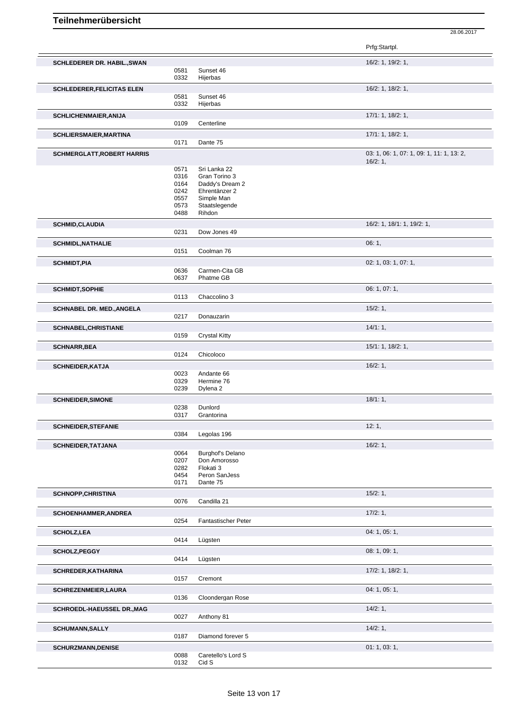|                                    |              |                                  | Prfg:Startpl.                                        |
|------------------------------------|--------------|----------------------------------|------------------------------------------------------|
| <b>SCHLEDERER DR. HABIL., SWAN</b> | 0581         | Sunset 46                        | 16/2: 1, 19/2: 1,                                    |
|                                    | 0332         | Hijerbas                         |                                                      |
| <b>SCHLEDERER, FELICITAS ELEN</b>  | 0581<br>0332 | Sunset 46<br>Hijerbas            | 16/2: 1, 18/2: 1,                                    |
| <b>SCHLICHENMAIER, ANIJA</b>       |              |                                  | 17/1: 1, 18/2: 1,                                    |
|                                    | 0109         | Centerline                       |                                                      |
| <b>SCHLIERSMAIER, MARTINA</b>      | 0171         | Dante 75                         | 17/1: 1, 18/2: 1,                                    |
| <b>SCHMERGLATT, ROBERT HARRIS</b>  |              |                                  | 03: 1, 06: 1, 07: 1, 09: 1, 11: 1, 13: 2,<br>16/2:1, |
|                                    | 0571         | Sri Lanka 22                     |                                                      |
|                                    | 0316<br>0164 | Gran Torino 3<br>Daddy's Dream 2 |                                                      |
|                                    | 0242         | Ehrentänzer 2                    |                                                      |
|                                    | 0557         | Simple Man                       |                                                      |
|                                    | 0573         | Staatslegende                    |                                                      |
|                                    | 0488         | Rihdon                           |                                                      |
| <b>SCHMID, CLAUDIA</b>             |              |                                  | 16/2: 1, 18/1: 1, 19/2: 1,                           |
|                                    | 0231         | Dow Jones 49                     |                                                      |
| <b>SCHMIDL, NATHALIE</b>           | 0151         | Coolman 76                       | 06:1,                                                |
| <b>SCHMIDT, PIA</b>                |              |                                  | 02: 1, 03: 1, 07: 1,                                 |
|                                    | 0636         | Carmen-Cita GB                   |                                                      |
|                                    | 0637         | Phatme GB                        |                                                      |
| <b>SCHMIDT, SOPHIE</b>             |              |                                  | 06: 1, 07: 1,                                        |
|                                    | 0113         | Chaccolino 3                     |                                                      |
| <b>SCHNABEL DR. MED., ANGELA</b>   |              |                                  | 15/2:1,                                              |
|                                    | 0217         | Donauzarin                       |                                                      |
| <b>SCHNABEL, CHRISTIANE</b>        |              |                                  | 14/1:1,                                              |
|                                    | 0159         | <b>Crystal Kitty</b>             |                                                      |
| <b>SCHNARR, BEA</b>                | 0124         | Chicoloco                        | 15/1: 1, 18/2: 1,                                    |
|                                    |              |                                  | 16/2:1,                                              |
| <b>SCHNEIDER, KATJA</b>            | 0023         | Andante 66                       |                                                      |
|                                    | 0329         | Hermine 76                       |                                                      |
|                                    | 0239         | Dylena <sub>2</sub>              |                                                      |
| <b>SCHNEIDER, SIMONE</b>           |              |                                  | 18/1:1,                                              |
|                                    | 0238         | Dunlord                          |                                                      |
|                                    | 0317         | Grantorina                       |                                                      |
| <b>SCHNEIDER, STEFANIE</b>         | 0384         | Legolas 196                      | 12:1,                                                |
|                                    |              |                                  |                                                      |
| <b>SCHNEIDER, TATJANA</b>          | 0064         | Burghof's Delano                 | 16/2:1,                                              |
|                                    | 0207         | Don Amorosso                     |                                                      |
|                                    | 0282         | Flokati 3                        |                                                      |
|                                    | 0454         | Peron SanJess                    |                                                      |
|                                    | 0171         | Dante 75                         |                                                      |
| <b>SCHNOPP,CHRISTINA</b>           | 0076         | Candilla 21                      | 15/2:1,                                              |
|                                    |              |                                  | 17/2:1,                                              |
| <b>SCHOENHAMMER, ANDREA</b>        | 0254         | Fantastischer Peter              |                                                      |
| <b>SCHOLZ, LEA</b>                 |              |                                  | 04: 1, 05: 1,                                        |
|                                    | 0414         | Lügsten                          |                                                      |
| SCHOLZ, PEGGY                      |              |                                  | 08: 1, 09: 1,                                        |
|                                    | 0414         | Lügsten                          |                                                      |
| <b>SCHREDER, KATHARINA</b>         |              |                                  | 17/2: 1, 18/2: 1,                                    |
|                                    | 0157         | Cremont                          |                                                      |
| SCHREZENMEIER, LAURA               |              |                                  | 04: 1, 05: 1,                                        |
|                                    | 0136         | Cloondergan Rose                 |                                                      |
| SCHROEDL-HAEUSSEL DR., MAG         |              |                                  | 14/2:1,                                              |
|                                    | 0027         | Anthony 81                       |                                                      |
| <b>SCHUMANN, SALLY</b>             |              |                                  | 14/2:1,                                              |
|                                    | 0187         | Diamond forever 5                |                                                      |
| <b>SCHURZMANN, DENISE</b>          |              |                                  | 01:1,03:1,                                           |
|                                    | 0088<br>0132 | Caretello's Lord S<br>Cid S      |                                                      |
|                                    |              |                                  |                                                      |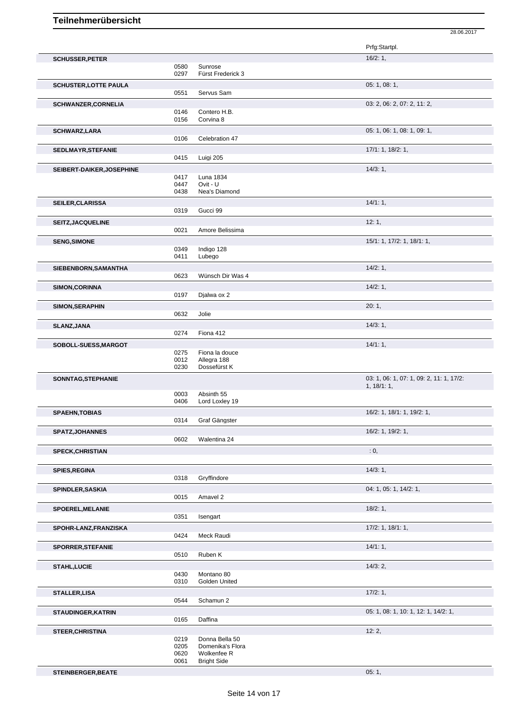Prfg:Startpl. **SCHUSSER, PETER** 16/2: 1, 0580 Sunrose<br>0297 Fürst Fre Fürst Frederick 3 **SCHUSTER,LOTTE PAULA** 05: 1, 08: 1, Servus Sam **SCHWANZER, CORNELIA** 03: 2, 06: 2, 07: 2, 11: 2, 06: 2, 07: 2, 11: 2, 06: 2, 07: 2, 11: 2, 06: 2, 07: 2, 11: 2, 0146 Contero H.B.<br>0156 Corvina 8 Corvina 8 **SCHWARZ,LARA** 05: 1, 06: 1, 09: 1, 09: 1, 09: 1, 09: 1, 09: 1, 09: 1, 09: 1, 09: 1, 09: 1, 09: 1, 09: 1, 09: 1, 09: 1, 09: 1, 09: 1, 09: 1, 09: 1, 09: 1, 09: 1, 09: 1, 09: 1, 09: 1, 09: 1, 09: 1, 09: 1, 09: 1, 09: 1, 09: 0106 Celebration 47 **SEDLMAYR,STEFANIE** 17/1: 1, 18/2: 1, 0415 Luigi 205 **SEIBERT-DAIKER, JOSEPHINE** 14/3: 1, 2004 17 Luna 1834 Luna 1834 0447 Ovit - U Nea's Diamond **SEILER, CLARISSA** 14/1: 1, 2019 **14/1: 1, 2019** 13/19 **14/1: 1, 2019** 14/1: 1, 2019 14/1: 1, 2019 14/1: 1, 2019 14/1: 1, 2019 14/1: 1, 2019 15/1: 2019 15/1: 2019 15/1: 2019 15/1: 2019 15/1: 2019 15/1: 2019 15/1: 2019 15/1 Gucci 99 **SEITZ,JACQUELINE** 12: 1, 0021 Amore Relissima **12: 1,** 12: 1, Amore Belissima **SENG,SIMONE** 15/1: 1, 17/2: 1, 18/1: 1, 0349 Indigo 128 0411 Lubego **SIEBENBORN,SAMANTHA** 14/2: 1, 0623 Wünsch Dir Was 4 **SIMON,CORINNA** 14/2: 1, 0197 Djalwa ox 2 **SIMON,SERAPHIN** 20: 1, 0632 Jolie **SLANZ,JANA** 14/3: 1,<br>0274 Fiona 412 Fiona 412 **SOBOLL-SUESS, MARGOT** 0275 Fiona la douce<br>0275 Fiona la douce 0275 Fiona la douce<br>0012 Allegra 188 Allegra 188 0230 Dossefürst K **SONNTAG,STEPHANIE** 03: 1, 06: 1, 07: 1, 09: 2, 11: 1, 17/2: 1, 18/1: 1, 0003 Absinth 55<br>0406 Lord Loxley Lord Loxley 19 **SPAEHN,TOBIAS** 16/2: 1, 18/1: 1, 19/2: 1, Graf Gängster **SPATZ,JOHANNES** 16/2: 1, 19/2: 1, 19/2: 1, 19/2: 1, 19/2: 1, 19/2: 1, 19/2: 1, 19/2: 1, 19/2: 1, 19/2: 1, 19/2: 1, 19/2: 1, 19/2: 1, 19/2: 1, 19/2: 1, 19/2: 1, 19/2: 1, 19/2: 1, 19/2: 1, 19/2: 1, 19/2: 1, 19/2: 1, 19/2: 1 Walentina 24 **SPECK,CHRISTIAN** : 0, **SPIES,REGINA** 14/3: 1, 0318 Gryffindore **SPINDLER,SASKIA** 04: 1, 05: 1, 14/2: 1, 0015 Amavel 2 **SPOEREL, MELANIE** 18/2: 1, 0351 Isengart **SPOHR-LANZ,FRANZISKA** 17/2: 1, 18/1: 1, 0424 Meck Raudi **SPORRER,STEFANIE** 14/1: 1, 0510 Ruben K<br>
0510 Ruben K Ruben K **STAHL,LUCIE** 14/3: 2,<br>
0430 Montano 80 0430 Montano 80<br>0310 Golden Unit Golden United **STALLER, LISA** 17/2: 1, 2014 17/2: 1, 2014 17/2: 1, 2014 17: 1, 2014 17: 1, 2014 17: 1, 2014 17: 1, 2014 17: 1, 2014 17: 1, 2014 17: 1, 2014 17: 1, 2014 17: 1, 2014 17: 1, 2014 17: 1, 2014 17: 1, 2014 17: 1, 2014 17: 1, 2 Schamun 2 **STAUDINGER, KATRIN** 0165 Daffina 0165 Daffina 0165 Daffina 0165 05: 1, 08: 1, 10: 1, 12: 1, 14/2: 1, Daffina **STEER,CHRISTINA** 12: 2, 0219 Donna Bella 50<br>0205 Domenika's Flo 0205 Domenika's Flora<br>0620 Wolkenfee R 0620 Wolkenfee R<br>0061 Bright Side

28.06.2017

Bright Side **STEINBERGER, BEATE** 05: 1, 05: 1, 05: 1, 05: 1, 05: 1, 05: 1, 05: 1, 05: 1, 05: 1, 05: 1, 05: 1, 05: 1, 05: 1, 05: 1, 05: 1, 05: 1, 05: 1, 05: 1, 05: 1, 05: 1, 05: 1, 05: 1, 05: 1, 05: 1, 05: 1, 05: 1, 05: 1, 05: 1, 05: 1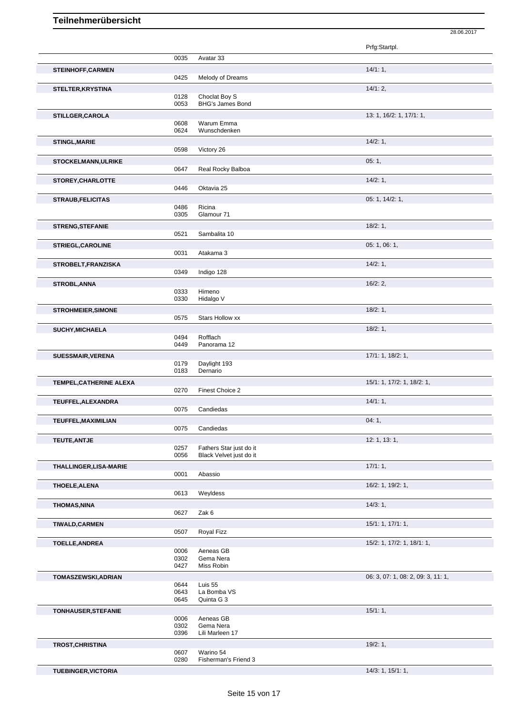|                               |              |                              | Prfg:Startpl.                      |
|-------------------------------|--------------|------------------------------|------------------------------------|
|                               | 0035         | Avatar 33                    |                                    |
| <b>STEINHOFF, CARMEN</b>      |              |                              | 14/1:1,                            |
|                               | 0425         | Melody of Dreams             |                                    |
| <b>STELTER, KRYSTINA</b>      |              |                              | $14/1:2$ ,                         |
|                               | 0128         | Choclat Boy S                |                                    |
|                               | 0053         | <b>BHG's James Bond</b>      |                                    |
| STILLGER, CAROLA              |              |                              | 13: 1, 16/2: 1, 17/1: 1,           |
|                               | 0608<br>0624 | Warum Emma<br>Wunschdenken   |                                    |
|                               |              |                              |                                    |
| <b>STINGL, MARIE</b>          | 0598         | Victory 26                   | 14/2:1,                            |
|                               |              |                              |                                    |
| <b>STOCKELMANN, ULRIKE</b>    | 0647         | Real Rocky Balboa            | 05:1,                              |
|                               |              |                              |                                    |
| <b>STOREY, CHARLOTTE</b>      | 0446         | Oktavia 25                   | 14/2:1,                            |
|                               |              |                              |                                    |
| <b>STRAUB, FELICITAS</b>      | 0486         | Ricina                       | 05: 1, 14/2: 1,                    |
|                               | 0305         | Glamour 71                   |                                    |
| <b>STRENG, STEFANIE</b>       |              |                              | 18/2:1,                            |
|                               | 0521         | Sambalita 10                 |                                    |
| <b>STRIEGL, CAROLINE</b>      |              |                              | 05: 1, 06: 1,                      |
|                               | 0031         | Atakama 3                    |                                    |
| STROBELT, FRANZISKA           |              |                              | 14/2:1,                            |
|                               | 0349         | Indigo 128                   |                                    |
| <b>STROBL, ANNA</b>           |              |                              | 16/2:2,                            |
|                               | 0333         | Himeno                       |                                    |
|                               | 0330         | Hidalgo V                    |                                    |
| <b>STROHMEIER, SIMONE</b>     |              |                              | 18/2:1,                            |
|                               | 0575         | <b>Stars Hollow xx</b>       |                                    |
| <b>SUCHY, MICHAELA</b>        |              |                              | 18/2:1,                            |
|                               | 0494         | Rofflach                     |                                    |
|                               | 0449         | Panorama 12                  |                                    |
| <b>SUESSMAIR, VERENA</b>      |              |                              | 17/1: 1, 18/2: 1,                  |
|                               | 0179<br>0183 | Daylight 193<br>Dernario     |                                    |
|                               |              |                              |                                    |
| TEMPEL, CATHERINE ALEXA       | 0270         | Finest Choice 2              | 15/1: 1, 17/2: 1, 18/2: 1,         |
|                               |              |                              |                                    |
| TEUFFEL, ALEXANDRA            | 0075         | Candiedas                    | 14/1:1,                            |
|                               |              |                              | 04:1,                              |
| TEUFFEL, MAXIMILIAN           | 0075         | Candiedas                    |                                    |
| <b>TEUTE, ANTJE</b>           |              |                              | 12: 1, 13: 1,                      |
|                               | 0257         | Fathers Star just do it      |                                    |
|                               | 0056         | Black Velvet just do it      |                                    |
| <b>THALLINGER, LISA-MARIE</b> |              |                              | 17/1:1,                            |
|                               | 0001         | Abassio                      |                                    |
| <b>THOELE, ALENA</b>          |              |                              | 16/2: 1, 19/2: 1,                  |
|                               | 0613         | Weyldess                     |                                    |
| <b>THOMAS, NINA</b>           |              |                              | 14/3:1,                            |
|                               | 0627         | Zak 6                        |                                    |
| <b>TIWALD, CARMEN</b>         |              |                              | 15/1: 1, 17/1: 1,                  |
|                               | 0507         | Royal Fizz                   |                                    |
| <b>TOELLE, ANDREA</b>         |              |                              | 15/2: 1, 17/2: 1, 18/1: 1,         |
|                               | 0006         | Aeneas GB                    |                                    |
|                               | 0302<br>0427 | Gema Nera<br>Miss Robin      |                                    |
|                               |              |                              |                                    |
| TOMASZEWSKI, ADRIAN           | 0644         | Luis 55                      | 06: 3, 07: 1, 08: 2, 09: 3, 11: 1, |
|                               | 0643         | La Bomba VS                  |                                    |
|                               | 0645         | Quinta G 3                   |                                    |
| <b>TONHAUSER, STEFANIE</b>    |              |                              | 15/1:1,                            |
|                               | 0006         | Aeneas GB                    |                                    |
|                               | 0302<br>0396 | Gema Nera<br>Lili Marleen 17 |                                    |
|                               |              |                              |                                    |
| <b>TROST, CHRISTINA</b>       | 0607         | Warino 54                    | 19/2:1,                            |
|                               | 0280         | Fisherman's Friend 3         |                                    |

**TUEBINGER,VICTORIA** 14/3: 1, 15/1: 1,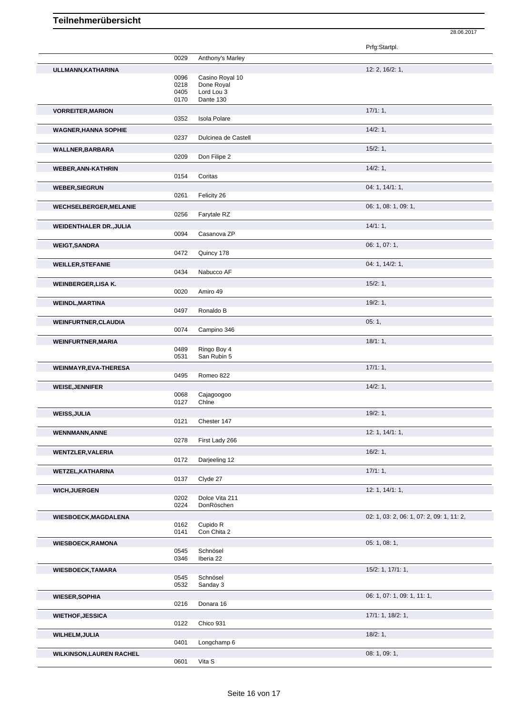|                                 |              |                              | Prfg:Startpl.                             |
|---------------------------------|--------------|------------------------------|-------------------------------------------|
|                                 | 0029         | Anthony's Marley             |                                           |
| ULLMANN, KATHARINA              |              |                              | 12: 2, 16/2: 1,                           |
|                                 | 0096         | Casino Royal 10              |                                           |
|                                 | 0218         | Done Royal                   |                                           |
|                                 | 0405         | Lord Lou 3                   |                                           |
|                                 | 0170         | Dante 130                    |                                           |
| <b>VORREITER, MARION</b>        |              |                              | 17/1:1,                                   |
|                                 | 0352         | <b>Isola Polare</b>          |                                           |
| <b>WAGNER, HANNA SOPHIE</b>     |              |                              | 14/2:1,                                   |
|                                 | 0237         | Dulcinea de Castell          |                                           |
| <b>WALLNER, BARBARA</b>         |              |                              | 15/2:1,                                   |
|                                 | 0209         | Don Filipe 2                 |                                           |
| <b>WEBER, ANN-KATHRIN</b>       |              |                              | 14/2:1,                                   |
|                                 | 0154         | Coritas                      |                                           |
| <b>WEBER, SIEGRUN</b>           |              |                              | 04: 1, 14/1: 1,                           |
|                                 | 0261         | Felicity 26                  |                                           |
| <b>WECHSELBERGER, MELANIE</b>   |              |                              | 06: 1, 08: 1, 09: 1,                      |
|                                 | 0256         | Farytale RZ                  |                                           |
|                                 |              |                              |                                           |
| <b>WEIDENTHALER DR., JULIA</b>  |              |                              | 14/1:1,                                   |
|                                 | 0094         | Casanova ZP                  |                                           |
| <b>WEIGT, SANDRA</b>            |              |                              | 06: 1, 07: 1,                             |
|                                 | 0472         | Quincy 178                   |                                           |
| <b>WEILLER, STEFANIE</b>        |              |                              | 04: 1, 14/2: 1,                           |
|                                 | 0434         | Nabucco AF                   |                                           |
| <b>WEINBERGER, LISA K.</b>      |              |                              | $15/2:1$ ,                                |
|                                 | 0020         | Amiro 49                     |                                           |
| <b>WEINDL, MARTINA</b>          |              |                              | 19/2:1,                                   |
|                                 | 0497         | Ronaldo B                    |                                           |
| <b>WEINFURTNER, CLAUDIA</b>     |              |                              | 05:1,                                     |
|                                 | 0074         | Campino 346                  |                                           |
|                                 |              |                              | 18/1:1,                                   |
| <b>WEINFURTNER, MARIA</b>       | 0489         | Ringo Boy 4                  |                                           |
|                                 | 0531         | San Rubin 5                  |                                           |
| <b>WEINMAYR, EVA-THERESA</b>    |              |                              | 17/1:1,                                   |
|                                 | 0495         | Romeo 822                    |                                           |
|                                 |              |                              | 14/2:1,                                   |
| <b>WEISE, JENNIFER</b>          | 0068         | Cajagoogoo                   |                                           |
|                                 | 0127         | Chine                        |                                           |
| <b>WEISS, JULIA</b>             |              |                              | 19/2:1,                                   |
|                                 | 0121         | Chester 147                  |                                           |
|                                 |              |                              | 12: 1, 14/1: 1,                           |
| <b>WENNMANN, ANNE</b>           | 0278         | First Lady 266               |                                           |
|                                 |              |                              |                                           |
| <b>WENTZLER, VALERIA</b>        | 0172         | Darjeeling 12                | 16/2:1,                                   |
|                                 |              |                              |                                           |
| <b>WETZEL, KATHARINA</b>        |              |                              | 17/1:1,                                   |
|                                 | 0137         | Clyde 27                     |                                           |
| <b>WICH, JUERGEN</b>            |              |                              | 12: 1, 14/1: 1,                           |
|                                 | 0202<br>0224 | Dolce Vita 211<br>DonRöschen |                                           |
|                                 |              |                              |                                           |
| <b>WIESBOECK, MAGDALENA</b>     |              |                              | 02: 1, 03: 2, 06: 1, 07: 2, 09: 1, 11: 2, |
|                                 | 0162<br>0141 | Cupido R<br>Con Chita 2      |                                           |
|                                 |              |                              |                                           |
| <b>WIESBOECK, RAMONA</b>        |              |                              | 05: 1, 08: 1,                             |
|                                 | 0545<br>0346 | Schnösel<br>Iberia 22        |                                           |
|                                 |              |                              |                                           |
| <b>WIESBOECK, TAMARA</b>        | 0545         | Schnösel                     | $15/2$ : 1, $17/1$ : 1,                   |
|                                 | 0532         | Sanday 3                     |                                           |
|                                 |              |                              |                                           |
| <b>WIESER, SOPHIA</b>           | 0216         | Donara 16                    | 06: 1, 07: 1, 09: 1, 11: 1,               |
|                                 |              |                              |                                           |
| <b>WIETHOF, JESSICA</b>         |              |                              | 17/1: 1, 18/2: 1,                         |
|                                 | 0122         | Chico 931                    |                                           |
| <b>WILHELM, JULIA</b>           |              |                              | 18/2:1,                                   |
|                                 | 0401         | Longchamp 6                  |                                           |
| <b>WILKINSON, LAUREN RACHEL</b> |              |                              | 08: 1, 09: 1,                             |
|                                 | 0601         | Vita S                       |                                           |